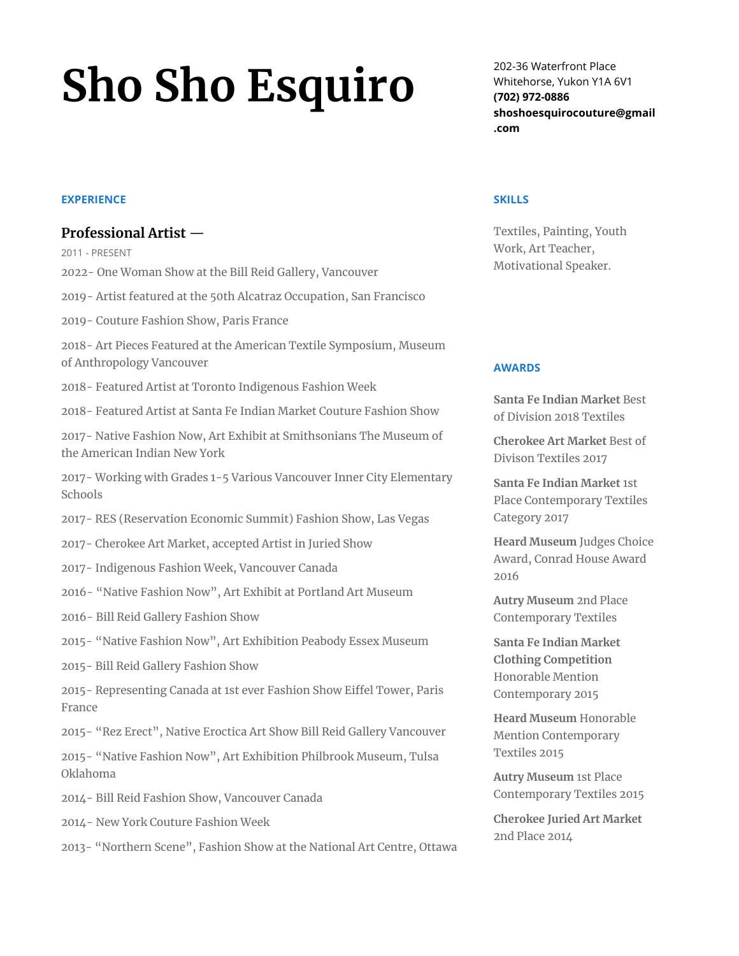# **Sho Sho Esquiro**

### **EXPERIENCE**

# **Professional Artist** —

2011 - PRESENT

- 2022- One Woman Show at the Bill Reid Gallery, Vancouver
- 2019- Artist featured at the 50th Alcatraz Occupation, San Francisco
- 2019- Couture Fashion Show, Paris France
- 2018- Art Pieces Featured at the American Textile Symposium, Museum of Anthropology Vancouver
- 2018- Featured Artist at Toronto Indigenous Fashion Week
- 2018- Featured Artist at Santa Fe Indian Market Couture Fashion Show
- 2017- Native Fashion Now, Art Exhibit at Smithsonians The Museum of the American Indian New York
- 2017- Working with Grades 1-5 Various Vancouver Inner City Elementary Schools
- 2017- RES (Reservation Economic Summit) Fashion Show, Las Vegas
- 2017- Cherokee Art Market, accepted Artist in Juried Show
- 2017- Indigenous Fashion Week, Vancouver Canada
- 2016- "Native Fashion Now", Art Exhibit at Portland Art Museum
- 2016- Bill Reid Gallery Fashion Show
- 2015- "Native Fashion Now", Art Exhibition Peabody Essex Museum
- 2015- Bill Reid Gallery Fashion Show

2015- Representing Canada at 1st ever Fashion Show Eiffel Tower, Paris France

- 2015- "Rez Erect", Native Eroctica Art Show Bill Reid Gallery Vancouver
- 2015- "Native Fashion Now", Art Exhibition Philbrook Museum, Tulsa Oklahoma
- 2014- Bill Reid Fashion Show, Vancouver Canada
- 2014- New York Couture Fashion Week
- 2013- "Northern Scene", Fashion Show at the National Art Centre, Ottawa

202-36 Waterfront Place Whitehorse, Yukon Y1A 6V1 **(702) 972-0886 shoshoesquirocouture@gmail .com**

#### **SKILLS**

Textiles, Painting, Youth Work, Art Teacher, Motivational Speaker.

#### **AWARDS**

**Santa Fe Indian Market** Best of Division 2018 Textiles

**Cherokee Art Market** Best of Divison Textiles 2017

**Santa Fe Indian Market** 1st Place Contemporary Textiles Category 2017

**Heard Museum** Judges Choice Award, Conrad House Award 2016

**Autry Museum** 2nd Place Contemporary Textiles

**Santa Fe Indian Market Clothing Competition** Honorable Mention Contemporary 2015

**Heard Museum** Honorable Mention Contemporary Textiles 2015

**Autry Museum** 1st Place Contemporary Textiles 2015

**Cherokee Juried Art Market** 2nd Place 2014